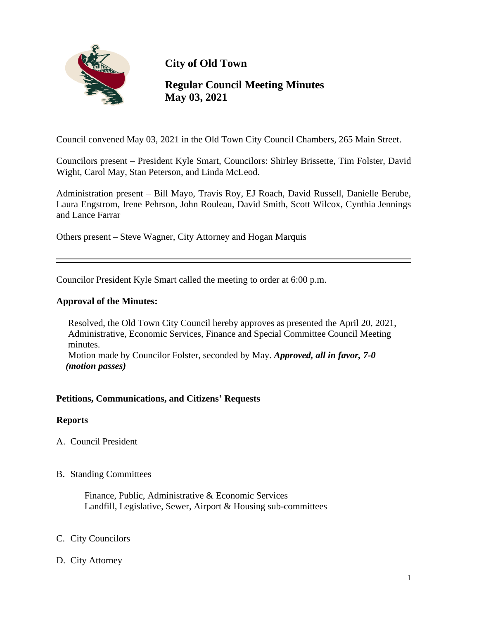

**City of Old Town**

# **Regular Council Meeting Minutes May 03, 2021**

Council convened May 03, 2021 in the Old Town City Council Chambers, 265 Main Street.

Councilors present – President Kyle Smart, Councilors: Shirley Brissette, Tim Folster, David Wight, Carol May, Stan Peterson, and Linda McLeod.

Administration present – Bill Mayo, Travis Roy, EJ Roach, David Russell, Danielle Berube, Laura Engstrom, Irene Pehrson, John Rouleau, David Smith, Scott Wilcox, Cynthia Jennings and Lance Farrar

Others present – Steve Wagner, City Attorney and Hogan Marquis

Councilor President Kyle Smart called the meeting to order at 6:00 p.m.

### **Approval of the Minutes:**

 Resolved, the Old Town City Council hereby approves as presented the April 20, 2021, Administrative, Economic Services, Finance and Special Committee Council Meeting minutes. Motion made by Councilor Folster, seconded by May. *Approved, all in favor, 7-0 (motion passes)*

### **Petitions, Communications, and Citizens' Requests**

### **Reports**

- A. Council President
- B. Standing Committees

 Finance, Public, Administrative & Economic Services Landfill, Legislative, Sewer, Airport & Housing sub-committees

### C. City Councilors

D. City Attorney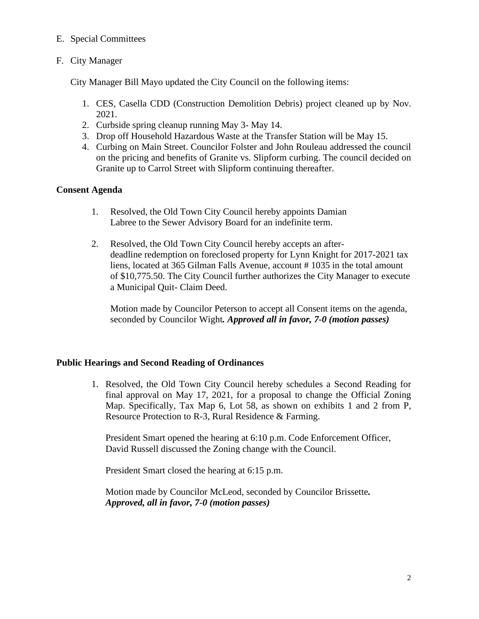### E. Special Committees

# F. City Manager

City Manager Bill Mayo updated the City Council on the following items:

- 1. CES, Casella CDD (Construction Demolition Debris) project cleaned up by Nov. 2021.
- 2. Curbside spring cleanup running May 3- May 14.
- 3. Drop off Household Hazardous Waste at the Transfer Station will be May 15.
- 4. Curbing on Main Street. Councilor Folster and John Rouleau addressed the council on the pricing and benefits of Granite vs. Slipform curbing. The council decided on Granite up to Carrol Street with Slipform continuing thereafter.

# **Consent Agenda**

- 1. Resolved, the Old Town City Council hereby appoints Damian Labree to the Sewer Advisory Board for an indefinite term.
- 2.Resolved, the Old Town City Council hereby accepts an after deadline redemption on foreclosed property for Lynn Knight for 2017-2021 tax liens, located at 365 Gilman Falls Avenue, account # 1035 in the total amount of \$10,775.50. The City Council further authorizes the City Manager to execute a Municipal Quit- Claim Deed.

 Motion made by Councilor Peterson to accept all Consent items on the agenda, seconded by Councilor Wight*. Approved all in favor, 7-0 (motion passes)*

## **Public Hearings and Second Reading of Ordinances**

1. Resolved, the Old Town City Council hereby schedules a Second Reading for final approval on May 17, 2021, for a proposal to change the Official Zoning Map. Specifically, Tax Map 6, Lot 58, as shown on exhibits 1 and 2 from P, Resource Protection to R-3, Rural Residence & Farming.

 President Smart opened the hearing at 6:10 p.m. Code Enforcement Officer, David Russell discussed the Zoning change with the Council.

President Smart closed the hearing at 6:15 p.m.

 Motion made by Councilor McLeod, seconded by Councilor Brissette*. Approved, all in favor, 7-0 (motion passes)*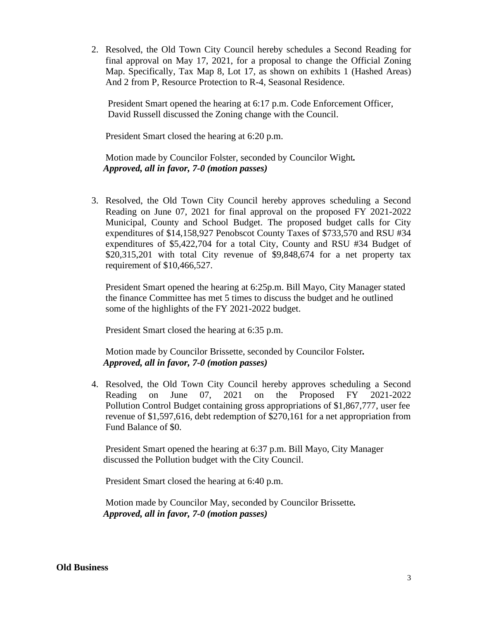2. Resolved, the Old Town City Council hereby schedules a Second Reading for final approval on May 17, 2021, for a proposal to change the Official Zoning Map. Specifically, Tax Map 8, Lot 17, as shown on exhibits 1 (Hashed Areas) And 2 from P, Resource Protection to R-4, Seasonal Residence.

President Smart opened the hearing at 6:17 p.m. Code Enforcement Officer, David Russell discussed the Zoning change with the Council.

President Smart closed the hearing at 6:20 p.m.

 Motion made by Councilor Folster, seconded by Councilor Wight*. Approved, all in favor, 7-0 (motion passes)*

3. Resolved, the Old Town City Council hereby approves scheduling a Second Reading on June 07, 2021 for final approval on the proposed FY 2021-2022 Municipal, County and School Budget. The proposed budget calls for City expenditures of \$14,158,927 Penobscot County Taxes of \$733,570 and RSU #34 expenditures of \$5,422,704 for a total City, County and RSU #34 Budget of \$20,315,201 with total City revenue of \$9,848,674 for a net property tax requirement of \$10,466,527.

President Smart opened the hearing at 6:25p.m. Bill Mayo, City Manager stated the finance Committee has met 5 times to discuss the budget and he outlined some of the highlights of the FY 2021-2022 budget.

President Smart closed the hearing at 6:35 p.m.

 Motion made by Councilor Brissette, seconded by Councilor Folster*. Approved, all in favor, 7-0 (motion passes)*

4. Resolved, the Old Town City Council hereby approves scheduling a Second Reading on June 07, 2021 on the Proposed FY 2021-2022 Pollution Control Budget containing gross appropriations of \$1,867,777, user fee revenue of \$1,597,616, debt redemption of \$270,161 for a net appropriation from Fund Balance of \$0.

President Smart opened the hearing at 6:37 p.m. Bill Mayo, City Manager discussed the Pollution budget with the City Council.

President Smart closed the hearing at 6:40 p.m.

 Motion made by Councilor May, seconded by Councilor Brissette*. Approved, all in favor, 7-0 (motion passes)*